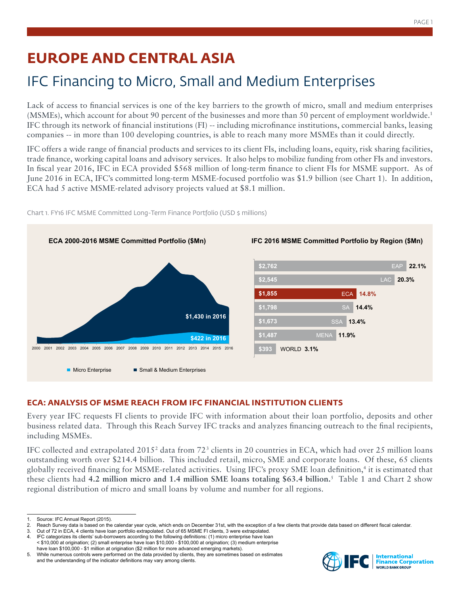# **EUROPE AND CENTRAL ASIA**

## IFC Financing to Micro, Small and Medium Enterprises

Lack of access to financial services is one of the key barriers to the growth of micro, small and medium enterprises (MSMEs), which account for about 90 percent of the businesses and more than 50 percent of employment worldwide.1 IFC through its network of financial institutions (FI) -- including microfinance institutions, commercial banks, leasing companies -- in more than 100 developing countries, is able to reach many more MSMEs than it could directly.

IFC offers a wide range of financial products and services to its client FIs, including loans, equity, risk sharing facilities, trade finance, working capital loans and advisory services. It also helps to mobilize funding from other FIs and investors. In fiscal year 2016, IFC in ECA provided \$568 million of long-term finance to client FIs for MSME support. As of June 2016 in ECA, IFC's committed long-term MSME-focused portfolio was \$1.9 billion (see Chart 1). In addition, ECA had 5 active MSME-related advisory projects valued at \$8.1 million.



Chart 1. FY16 IFC MSME Committed Long-Term Finance Portfolio (USD \$ millions)

### **ECA: ANALYSIS OF MSME REACH FROM IFC FINANCIAL INSTITUTION CLIENTS**

Every year IFC requests FI clients to provide IFC with information about their loan portfolio, deposits and other business related data. Through this Reach Survey IFC tracks and analyzes financing outreach to the final recipients, including MSMEs.

IFC collected and extrapolated 2015<sup>2</sup> data from 72<sup>3</sup> clients in 20 countries in ECA, which had over 25 million loans outstanding worth over \$214.4 billion. This included retail, micro, SME and corporate loans. Of these, 65 clients globally received financing for MSME-related activities. Using IFC's proxy SME loan definition,4 it is estimated that these clients had **4.2 million micro and 1.4 million SME loans totaling \$63.4 billion.**<sup>5</sup> Table 1 and Chart 2 show regional distribution of micro and small loans by volume and number for all regions.



Source: IFC Annual Report (2015).

<sup>2.</sup> Reach Survey data is based on the calendar year cycle, which ends on December 31st, with the exception of a few clients that provide data based on different fiscal calendar.<br>3. Out of 72 in ECA, 4 clients have loan port

<sup>3.</sup> Out of 72 in ECA, 4 clients have loan portfolio extrapolated. Out of 65 MSME FI clients, 3 were extrapolated. 4. IFC categorizes its clients' sub-borrowers according to the following definitions: (1) micro enterprise have loan

<sup>&</sup>lt; \$10,000 at origination; (2) small enterprise have loan \$10,000 - \$100,000 at origination; (3) medium enterprise have loan \$100,000 - \$1 million at origination (\$2 million for more advanced emerging markets).

<sup>5.</sup> While numerous controls were performed on the data provided by clients, they are sometimes based on estimates and the understanding of the indicator definitions may vary among clients.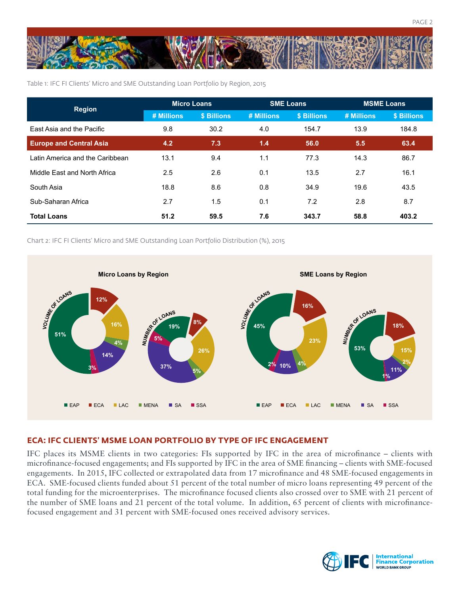

Table 1: IFC FI Clients' Micro and SME Outstanding Loan Portfolio by Region, 2015

| <b>Region</b>                   | <b>Micro Loans</b> |             | <b>SME Loans</b> |             | <b>MSME Loans</b> |             |
|---------------------------------|--------------------|-------------|------------------|-------------|-------------------|-------------|
|                                 | # Millions         | \$ Billions | # Millions       | \$ Billions | # Millions        | \$ Billions |
| East Asia and the Pacific       | 9.8                | 30.2        | 4.0              | 154.7       | 13.9              | 184.8       |
| <b>Europe and Central Asia</b>  | 4.2                | 7.3         | 1.4              | 56.0        | 5.5               | 63.4        |
| Latin America and the Caribbean | 13.1               | 9.4         | 1.1              | 77.3        | 14.3              | 86.7        |
| Middle East and North Africa    | 2.5                | 2.6         | 0.1              | 13.5        | 2.7               | 16.1        |
| South Asia                      | 18.8               | 8.6         | 0.8              | 34.9        | 19.6              | 43.5        |
| Sub-Saharan Africa              | 2.7                | 1.5         | 0.1              | 7.2         | 2.8               | 8.7         |
| <b>Total Loans</b>              | 51.2               | 59.5        | 7.6              | 343.7       | 58.8              | 403.2       |

Chart 2: IFC FI Clients' Micro and SME Outstanding Loan Portfolio Distribution (%), 2015



#### **ECA: IFC CLIENTS' MSME LOAN PORTFOLIO BY TYPE OF IFC ENGAGEMENT**

IFC places its MSME clients in two categories: FIs supported by IFC in the area of microfinance – clients with microfinance-focused engagements; and FIs supported by IFC in the area of SME financing – clients with SME-focused engagements. In 2015, IFC collected or extrapolated data from 17 microfinance and 48 SME-focused engagements in ECA. SME-focused clients funded about 51 percent of the total number of micro loans representing 49 percent of the total funding for the microenterprises. The microfinance focused clients also crossed over to SME with 21 percent of the number of SME loans and 21 percent of the total volume. In addition, 65 percent of clients with microfinancefocused engagement and 31 percent with SME-focused ones received advisory services.

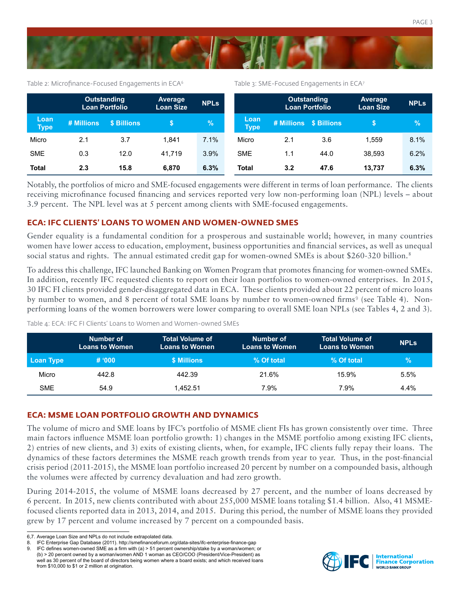

Table 2: Microfinance-Focused Engagements in ECA<sup>6</sup> Table 3: SME-Focused Engagements in ECA7

|                     | <b>Outstanding</b><br>Loan Portfolio |             | Average<br><b>Loan Size</b> | <b>NPLS</b> |                     | <b>Outstanding</b><br><b>Loan Portfolio</b> |                        | Average<br><b>Loan Size</b> | <b>NPLs</b> |
|---------------------|--------------------------------------|-------------|-----------------------------|-------------|---------------------|---------------------------------------------|------------------------|-----------------------------|-------------|
| Loan<br><b>Type</b> | # Millions                           | \$ Billions |                             | $\sqrt{2}$  | Loan<br><b>Type</b> |                                             | # Millions \$ Billions | S                           | $\%$        |
| Micro               | 2.1                                  | 3.7         | 1.841                       | 7.1%        | Micro               | 2.1                                         | 3.6                    | 1.559                       | 8.1%        |
| <b>SME</b>          | 0.3                                  | 12.0        | 41.719                      | 3.9%        | <b>SME</b>          | 1.1                                         | 44.0                   | 38.593                      | 6.2%        |
| <b>Total</b>        | 2.3                                  | 15.8        | 6.870                       | 6.3%        | <b>Total</b>        | 3.2                                         | 47.6                   | 13.737                      | 6.3%        |

Notably, the portfolios of micro and SME-focused engagements were different in terms of loan performance. The clients receiving microfinance focused financing and services reported very low non-performing loan (NPL) levels – about 3.9 percent. The NPL level was at 5 percent among clients with SME-focused engagements.

#### **ECA: IFC CLIENTS' LOANS TO WOMEN AND WOMEN-OWNED SMES**

Gender equality is a fundamental condition for a prosperous and sustainable world; however, in many countries women have lower access to education, employment, business opportunities and financial services, as well as unequal social status and rights. The annual estimated credit gap for women-owned SMEs is about \$260-320 billion.<sup>8</sup>

To address this challenge, IFC launched Banking on Women Program that promotes financing for women-owned SMEs. In addition, recently IFC requested clients to report on their loan portfolios to women-owned enterprises. In 2015, 30 IFC FI clients provided gender-disaggregated data in ECA. These clients provided about 22 percent of micro loans by number to women, and 8 percent of total SME loans by number to women-owned firms<sup>9</sup> (see Table 4). Nonperforming loans of the women borrowers were lower comparing to overall SME loan NPLs (see Tables 4, 2 and 3).

Table 4: ECA: IFC FI Clients' Loans to Women and Women-owned SMEs

|            | Number of<br><b>Loans to Women</b> | <b>Total Volume of</b><br><b>Loans to Women</b> | Number of<br><b>Loans to Women</b> | <b>Total Volume of</b><br><b>Loans to Women</b> | <b>NPLS</b>   |
|------------|------------------------------------|-------------------------------------------------|------------------------------------|-------------------------------------------------|---------------|
| Loan Type  | # 000                              | \$ Millions                                     | % Of total                         | % Of total                                      | $\mathcal{C}$ |
| Micro      | 442.8                              | 442.39                                          | 21.6%                              | 15.9%                                           | 5.5%          |
| <b>SME</b> | 54.9                               | 1.452.51                                        | 7.9%                               | 7.9%                                            | $4.4\%$       |

#### **ECA: MSME LOAN PORTFOLIO GROWTH AND DYNAMICS**

The volume of micro and SME loans by IFC's portfolio of MSME client FIs has grown consistently over time. Three main factors influence MSME loan portfolio growth: 1) changes in the MSME portfolio among existing IFC clients, 2) entries of new clients, and 3) exits of existing clients, when, for example, IFC clients fully repay their loans. The dynamics of these factors determines the MSME reach growth trends from year to year. Thus, in the post-financial crisis period (2011-2015), the MSME loan portfolio increased 20 percent by number on a compounded basis, although the volumes were affected by currency devaluation and had zero growth.

During 2014-2015, the volume of MSME loans decreased by 27 percent, and the number of loans decreased by 6 percent. In 2015, new clients contributed with about 255,000 MSME loans totaling \$1.4 billion. Also, 41 MSMEfocused clients reported data in 2013, 2014, and 2015. During this period, the number of MSME loans they provided grew by 17 percent and volume increased by 7 percent on a compounded basis.



<sup>6,7.</sup> Average Loan Size and NPLs do not include extrapolated data.

<sup>8.</sup> IFC Enterprise Gap Database (2011). http://smefinanceforum.org/data-sites/ifc-enterprise-finance-gap

<sup>9.</sup> IFC defines women-owned SME as a firm with (a) > 51 percent ownership/stake by a woman/women; or (b) > 20 percent owned by a woman/women AND 1 woman as CEO/COO (President/Vice-President) as well as 30 percent of the board of directors being women where a board exists; and which received loans from \$10,000 to \$1 or 2 million at origination.